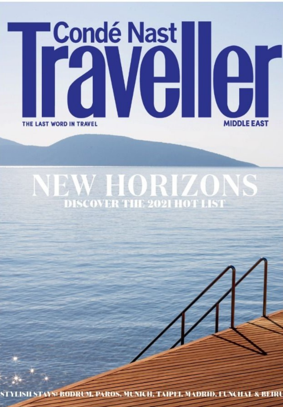

## **NEW HORIZONS**<br>DISCOVER THE 2021 HOT LIST

STYLISH STAYS: BODRUM, PAROS, MUNICH, TAIPEI, MADRID, FUNCHAL & BEIRU